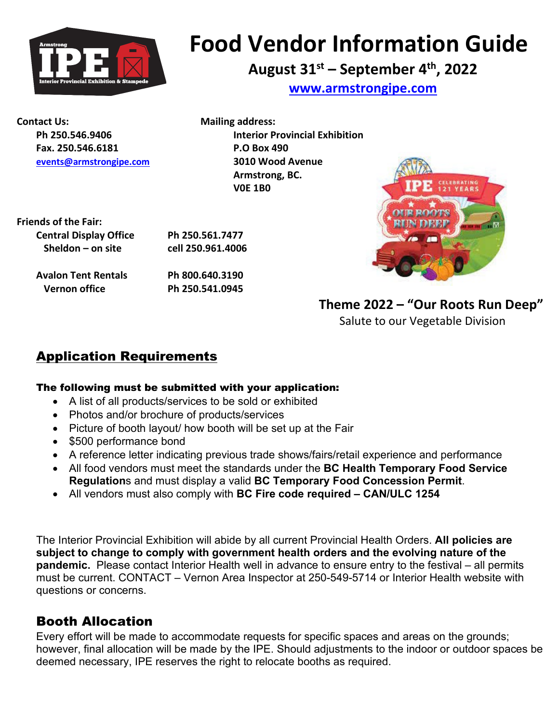

# **Food Vendor Information Guide**

## **August 31st – September 4th, 2022**

**[www.armstrongipe.com](http://www.armstrongipe.com/)**

**Contact Us:** Mailing address: **Fax. 250.546.6181 P.O Box 490 [events@armstrongipe.com](mailto:events@armstrongipe.com) 3010 Wood Avenue**

**Ph 250.546.9406 Interior Provincial Exhibition Armstrong, BC. V0E 1B0**

**Friends of the Fair: Central Display Office Ph 250.561.7477 Sheldon – on site cell 250.961.4006**

**Avalon Tent Rentals Ph 800.640.3190 Vernon office Ph 250.541.0945**



**Theme 2022 – "Our Roots Run Deep"**  Salute to our Vegetable Division

## Application Requirements

#### The following must be submitted with your application:

- A list of all products/services to be sold or exhibited
- Photos and/or brochure of products/services
- Picture of booth layout/ how booth will be set up at the Fair
- \$500 performance bond
- A reference letter indicating previous trade shows/fairs/retail experience and performance
- All food vendors must meet the standards under the **BC Health Temporary Food Service Regulation**s and must display a valid **BC Temporary Food Concession Permit**.
- All vendors must also comply with **BC Fire code required – CAN/ULC 1254**

The Interior Provincial Exhibition will abide by all current Provincial Health Orders. **All policies are subject to change to comply with government health orders and the evolving nature of the pandemic.** Please contact Interior Health well in advance to ensure entry to the festival – all permits must be current. CONTACT – Vernon Area Inspector at 250-549-5714 or Interior Health website with questions or concerns.

## Booth Allocation

Every effort will be made to accommodate requests for specific spaces and areas on the grounds; however, final allocation will be made by the IPE. Should adjustments to the indoor or outdoor spaces be deemed necessary, IPE reserves the right to relocate booths as required.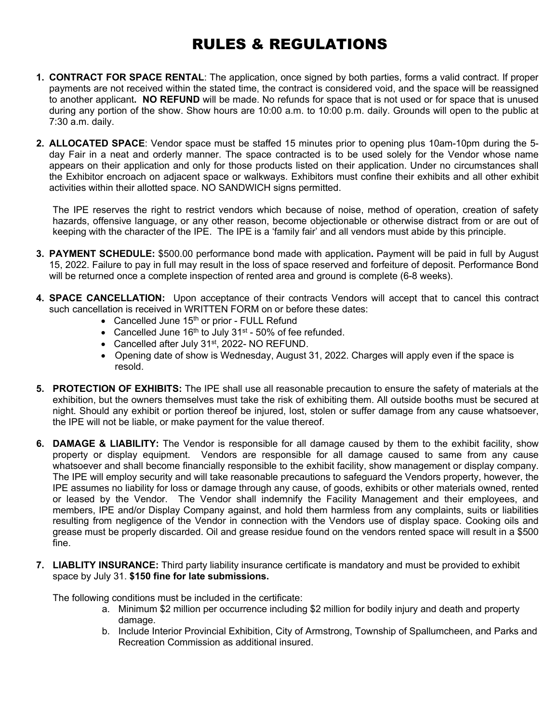## RULES & REGULATIONS

- **1. CONTRACT FOR SPACE RENTAL**: The application, once signed by both parties, forms a valid contract. If proper payments are not received within the stated time, the contract is considered void, and the space will be reassigned to another applicant**. NO REFUND** will be made. No refunds for space that is not used or for space that is unused during any portion of the show. Show hours are 10:00 a.m. to 10:00 p.m. daily. Grounds will open to the public at 7:30 a.m. daily.
- **2. ALLOCATED SPACE**: Vendor space must be staffed 15 minutes prior to opening plus 10am-10pm during the 5 day Fair in a neat and orderly manner. The space contracted is to be used solely for the Vendor whose name appears on their application and only for those products listed on their application. Under no circumstances shall the Exhibitor encroach on adjacent space or walkways. Exhibitors must confine their exhibits and all other exhibit activities within their allotted space. NO SANDWICH signs permitted.

The IPE reserves the right to restrict vendors which because of noise, method of operation, creation of safety hazards, offensive language, or any other reason, become objectionable or otherwise distract from or are out of keeping with the character of the IPE. The IPE is a 'family fair' and all vendors must abide by this principle.

- **3. PAYMENT SCHEDULE:** \$500.00 performance bond made with application**.** Payment will be paid in full by August 15, 2022. Failure to pay in full may result in the loss of space reserved and forfeiture of deposit. Performance Bond will be returned once a complete inspection of rented area and ground is complete (6-8 weeks).
- **4. SPACE CANCELLATION:** Upon acceptance of their contracts Vendors will accept that to cancel this contract such cancellation is received in WRITTEN FORM on or before these dates:
	- Cancelled June  $15<sup>th</sup>$  or prior FULL Refund
	- Cancelled June  $16<sup>th</sup>$  to July 31<sup>st</sup> 50% of fee refunded.
	- Cancelled after July 31<sup>st</sup>, 2022- NO REFUND.
	- Opening date of show is Wednesday, August 31, 2022. Charges will apply even if the space is resold.
- **5. PROTECTION OF EXHIBITS:** The IPE shall use all reasonable precaution to ensure the safety of materials at the exhibition, but the owners themselves must take the risk of exhibiting them. All outside booths must be secured at night. Should any exhibit or portion thereof be injured, lost, stolen or suffer damage from any cause whatsoever, the IPE will not be liable, or make payment for the value thereof.
- **6. DAMAGE & LIABILITY:** The Vendor is responsible for all damage caused by them to the exhibit facility, show property or display equipment. Vendors are responsible for all damage caused to same from any cause whatsoever and shall become financially responsible to the exhibit facility, show management or display company. The IPE will employ security and will take reasonable precautions to safeguard the Vendors property, however, the IPE assumes no liability for loss or damage through any cause, of goods, exhibits or other materials owned, rented or leased by the Vendor. The Vendor shall indemnify the Facility Management and their employees, and members, IPE and/or Display Company against, and hold them harmless from any complaints, suits or liabilities resulting from negligence of the Vendor in connection with the Vendors use of display space. Cooking oils and grease must be properly discarded. Oil and grease residue found on the vendors rented space will result in a \$500 fine.
- **7. LIABLITY INSURANCE:** Third party liability insurance certificate is mandatory and must be provided to exhibit space by July 31. **\$150 fine for late submissions.**

The following conditions must be included in the certificate:

- a. Minimum \$2 million per occurrence including \$2 million for bodily injury and death and property damage.
- b. Include Interior Provincial Exhibition, City of Armstrong, Township of Spallumcheen, and Parks and Recreation Commission as additional insured.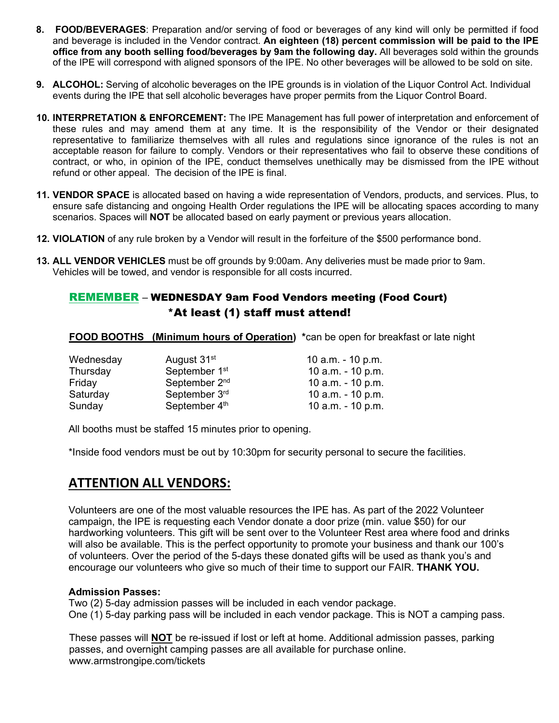- **8. FOOD/BEVERAGES**: Preparation and/or serving of food or beverages of any kind will only be permitted if food and beverage is included in the Vendor contract. **An eighteen (18) percent commission will be paid to the IPE office from any booth selling food/beverages by 9am the following day.** All beverages sold within the grounds of the IPE will correspond with aligned sponsors of the IPE. No other beverages will be allowed to be sold on site.
- **9. ALCOHOL:** Serving of alcoholic beverages on the IPE grounds is in violation of the Liquor Control Act. Individual events during the IPE that sell alcoholic beverages have proper permits from the Liquor Control Board.
- **10. INTERPRETATION & ENFORCEMENT:** The IPE Management has full power of interpretation and enforcement of these rules and may amend them at any time. It is the responsibility of the Vendor or their designated representative to familiarize themselves with all rules and regulations since ignorance of the rules is not an acceptable reason for failure to comply. Vendors or their representatives who fail to observe these conditions of contract, or who, in opinion of the IPE, conduct themselves unethically may be dismissed from the IPE without refund or other appeal. The decision of the IPE is final.
- **11. VENDOR SPACE** is allocated based on having a wide representation of Vendors, products, and services. Plus, to ensure safe distancing and ongoing Health Order regulations the IPE will be allocating spaces according to many scenarios. Spaces will **NOT** be allocated based on early payment or previous years allocation.
- **12. VIOLATION** of any rule broken by a Vendor will result in the forfeiture of the \$500 performance bond.
- **13. ALL VENDOR VEHICLES** must be off grounds by 9:00am. Any deliveries must be made prior to 9am. Vehicles will be towed, and vendor is responsible for all costs incurred.

#### REMEMBER – WEDNESDAY 9am Food Vendors meeting (Food Court) \*At least (1) staff must attend!

**FOOD BOOTHS (Minimum hours of Operation) \***can be open for breakfast or late night

| Wednesday | August 31 <sup>st</sup>   | 10 $a.m. - 10 p.m.$ |
|-----------|---------------------------|---------------------|
| Thursday  | September 1 <sup>st</sup> | 10 $a.m. - 10 p.m.$ |
| Friday    | September 2 <sup>nd</sup> | 10 $a.m. - 10 p.m.$ |
| Saturday  | September 3rd             | 10 a.m. - 10 p.m.   |
| Sunday    | September 4th             | 10 $a.m. - 10 p.m.$ |

All booths must be staffed 15 minutes prior to opening.

\*Inside food vendors must be out by 10:30pm for security personal to secure the facilities.

#### **ATTENTION ALL VENDORS:**

Volunteers are one of the most valuable resources the IPE has. As part of the 2022 Volunteer campaign, the IPE is requesting each Vendor donate a door prize (min. value \$50) for our hardworking volunteers. This gift will be sent over to the Volunteer Rest area where food and drinks will also be available. This is the perfect opportunity to promote your business and thank our 100's of volunteers. Over the period of the 5-days these donated gifts will be used as thank you's and encourage our volunteers who give so much of their time to support our FAIR. **THANK YOU.**

#### **Admission Passes:**

Two (2) 5-day admission passes will be included in each vendor package. One (1) 5-day parking pass will be included in each vendor package. This is NOT a camping pass.

These passes will **NOT** be re-issued if lost or left at home. Additional admission passes, parking passes, and overnight camping passes are all available for purchase online. www.armstrongipe.com/tickets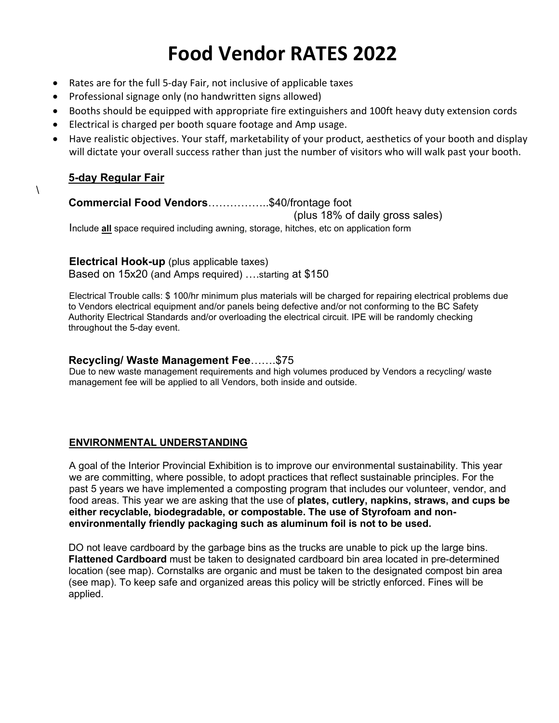## **Food Vendor RATES 2022**

- Rates are for the full 5-day Fair, not inclusive of applicable taxes
- Professional signage only (no handwritten signs allowed)
- Booths should be equipped with appropriate fire extinguishers and 100ft heavy duty extension cords
- Electrical is charged per booth square footage and Amp usage.
- Have realistic objectives. Your staff, marketability of your product, aesthetics of your booth and display will dictate your overall success rather than just the number of visitors who will walk past your booth.

#### **5-day Regular Fair**

 $\setminus$ 

#### **Commercial Food Vendors**……………..\$40/frontage foot

(plus 18% of daily gross sales)

Include **all** space required including awning, storage, hitches, etc on application form

#### **Electrical Hook-up** (plus applicable taxes)

Based on 15x20 (and Amps required) ….starting at \$150

Electrical Trouble calls: \$ 100/hr minimum plus materials will be charged for repairing electrical problems due to Vendors electrical equipment and/or panels being defective and/or not conforming to the BC Safety Authority Electrical Standards and/or overloading the electrical circuit. IPE will be randomly checking throughout the 5-day event.

#### **Recycling/ Waste Management Fee**…….\$75

Due to new waste management requirements and high volumes produced by Vendors a recycling/ waste management fee will be applied to all Vendors, both inside and outside.

#### **ENVIRONMENTAL UNDERSTANDING**

A goal of the Interior Provincial Exhibition is to improve our environmental sustainability. This year we are committing, where possible, to adopt practices that reflect sustainable principles. For the past 5 years we have implemented a composting program that includes our volunteer, vendor, and food areas. This year we are asking that the use of **plates, cutlery, napkins, straws, and cups be either recyclable, biodegradable, or compostable. The use of Styrofoam and nonenvironmentally friendly packaging such as aluminum foil is not to be used.** 

DO not leave cardboard by the garbage bins as the trucks are unable to pick up the large bins. **Flattened Cardboard** must be taken to designated cardboard bin area located in pre-determined location (see map). Cornstalks are organic and must be taken to the designated compost bin area (see map). To keep safe and organized areas this policy will be strictly enforced. Fines will be applied.